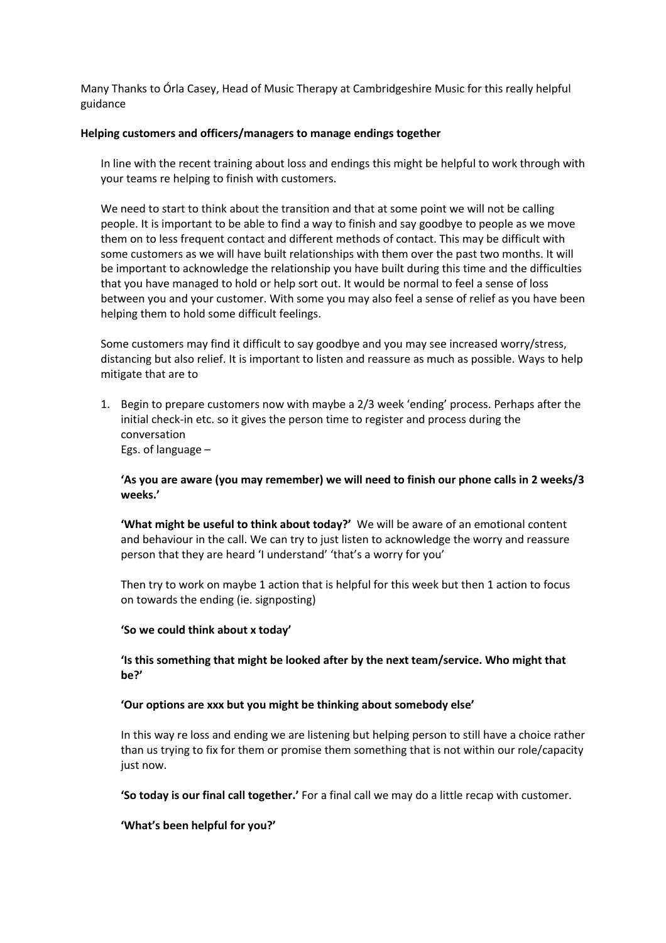Many Thanks to Órla Casey, Head of Music Therapy at Cambridgeshire Music for this really helpful guidance

### **Helping customers and officers/managers to manage endings together**

In line with the recent training about loss and endings this might be helpful to work through with your teams re helping to finish with customers.

We need to start to think about the transition and that at some point we will not be calling people. It is important to be able to find a way to finish and say goodbye to people as we move them on to less frequent contact and different methods of contact. This may be difficult with some customers as we will have built relationships with them over the past two months. It will be important to acknowledge the relationship you have built during this time and the difficulties that you have managed to hold or help sort out. It would be normal to feel a sense of loss between you and your customer. With some you may also feel a sense of relief as you have been helping them to hold some difficult feelings.

Some customers may find it difficult to say goodbye and you may see increased worry/stress, distancing but also relief. It is important to listen and reassure as much as possible. Ways to help mitigate that are to

1. Begin to prepare customers now with maybe a 2/3 week 'ending' process. Perhaps after the initial check-in etc. so it gives the person time to register and process during the conversation Egs. of language –

# **'As you are aware (you may remember) we will need to finish our phone calls in 2 weeks/3 weeks.'**

**'What might be useful to think about today?'** We will be aware of an emotional content and behaviour in the call. We can try to just listen to acknowledge the worry and reassure person that they are heard 'I understand' 'that's a worry for you'

Then try to work on maybe 1 action that is helpful for this week but then 1 action to focus on towards the ending (ie. signposting)

## **'So we could think about x today'**

## **'Is this something that might be looked after by the next team/service. Who might that be?'**

## **'Our options are xxx but you might be thinking about somebody else'**

In this way re loss and ending we are listening but helping person to still have a choice rather than us trying to fix for them or promise them something that is not within our role/capacity just now.

**'So today is our final call together.'** For a final call we may do a little recap with customer.

**'What's been helpful for you?'**